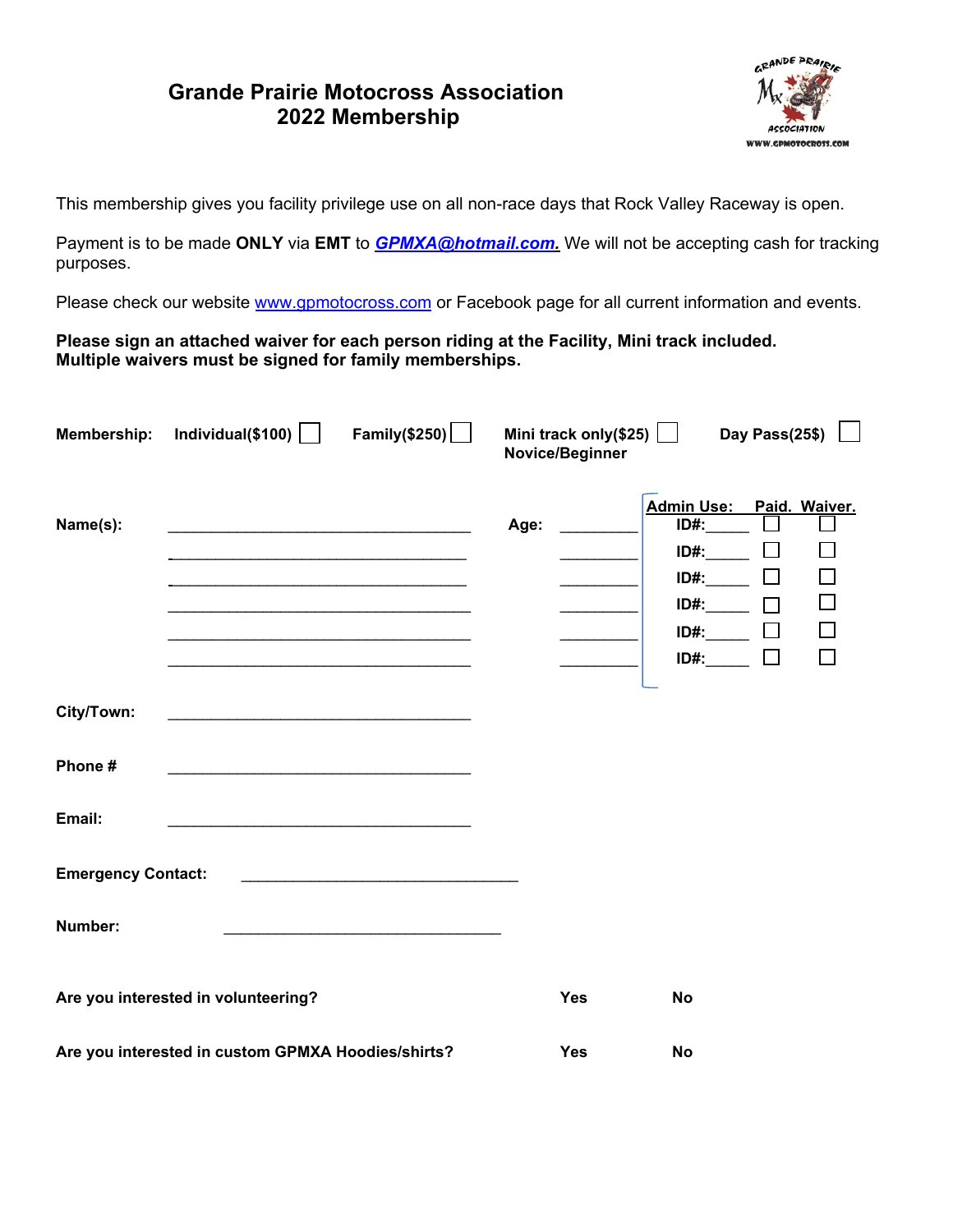## **Grande Prairie Motocross Association 2022 Membership**



This membership gives you facility privilege use on all non-race days that Rock Valley Raceway is open.

Payment is to be made **ONLY** via **EMT** to *GPMXA@hotmail.com.* We will not be accepting cash for tracking purposes.

Please check our website www.gpmotocross.com or Facebook page for all current information and events.

**Please sign an attached waiver for each person riding at the Facility, Mini track included. Multiple waivers must be signed for family memberships.**

|                           | Membership: Individual(\$100)                                                                                        | Family(\$250) $\Box$ |      | Mini track only(\$25) $\boxed{\phantom{1}}$<br>Novice/Beginner |                          | Day Pass(25\$)   |        |
|---------------------------|----------------------------------------------------------------------------------------------------------------------|----------------------|------|----------------------------------------------------------------|--------------------------|------------------|--------|
|                           |                                                                                                                      |                      |      |                                                                | Admin Use: Paid. Waiver. |                  |        |
| Name(s):                  |                                                                                                                      |                      | Age: |                                                                | $ID#$ :                  |                  |        |
|                           |                                                                                                                      |                      |      |                                                                | ID#:                     | $\Box$<br>$\Box$ |        |
|                           | <u> 1989 - Johann John Stein, mars eta bat eta bat eta bat eta bat eta bat eta bat eta bat eta bat eta bat eta b</u> |                      |      |                                                                | $ID#$ :<br>$ID#:$ $\Box$ |                  |        |
|                           |                                                                                                                      |                      |      |                                                                | $ID#:$ $\Box$            |                  | $\Box$ |
|                           | <u> 1989 - Johann John Stein, mars an Francisco Barbara, actor a component de la componenta</u>                      |                      |      |                                                                | $ID#:$ $\Box$            |                  |        |
|                           |                                                                                                                      |                      |      |                                                                |                          |                  |        |
| City/Town:                |                                                                                                                      |                      |      |                                                                |                          |                  |        |
|                           |                                                                                                                      |                      |      |                                                                |                          |                  |        |
| Phone #                   |                                                                                                                      |                      |      |                                                                |                          |                  |        |
|                           |                                                                                                                      |                      |      |                                                                |                          |                  |        |
| Email:                    |                                                                                                                      |                      |      |                                                                |                          |                  |        |
|                           |                                                                                                                      |                      |      |                                                                |                          |                  |        |
| <b>Emergency Contact:</b> |                                                                                                                      |                      |      |                                                                |                          |                  |        |
|                           |                                                                                                                      |                      |      |                                                                |                          |                  |        |
| Number:                   |                                                                                                                      |                      |      |                                                                |                          |                  |        |
|                           |                                                                                                                      |                      |      |                                                                |                          |                  |        |
|                           | Are you interested in volunteering?                                                                                  |                      |      | <b>Yes</b>                                                     | <b>No</b>                |                  |        |
|                           |                                                                                                                      |                      |      |                                                                |                          |                  |        |
|                           | Are you interested in custom GPMXA Hoodies/shirts?                                                                   |                      |      | <b>Yes</b>                                                     | <b>No</b>                |                  |        |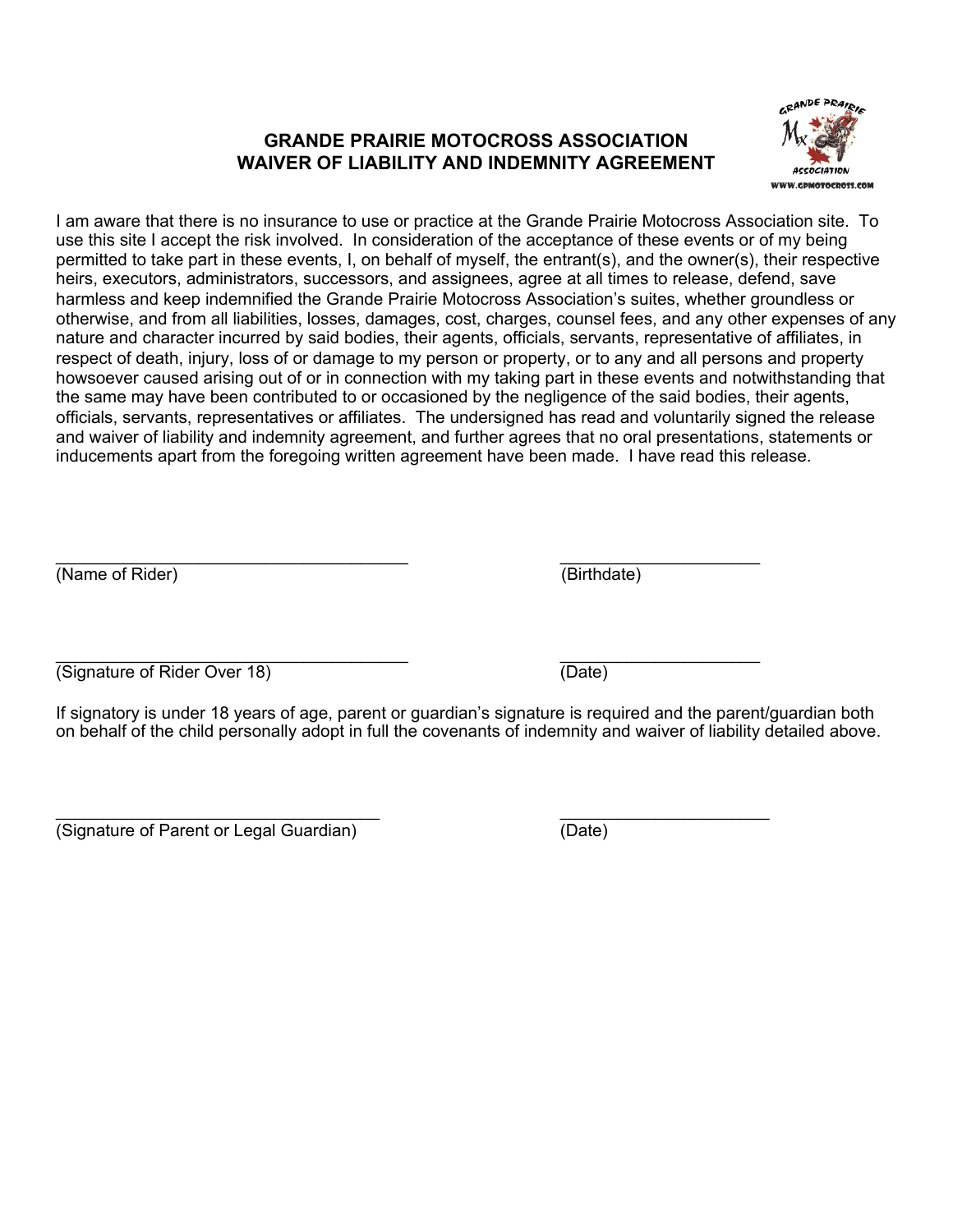## **GRANDE PRAIRIE MOTOCROSS ASSOCIATION WAIVER OF LIABILITY AND INDEMNITY AGREEMENT**



I am aware that there is no insurance to use or practice at the Grande Prairie Motocross Association site. To use this site I accept the risk involved. In consideration of the acceptance of these events or of my being permitted to take part in these events, I, on behalf of myself, the entrant(s), and the owner(s), their respective heirs, executors, administrators, successors, and assignees, agree at all times to release, defend, save harmless and keep indemnified the Grande Prairie Motocross Association's suites, whether groundless or otherwise, and from all liabilities, losses, damages, cost, charges, counsel fees, and any other expenses of any nature and character incurred by said bodies, their agents, officials, servants, representative of affiliates, in respect of death, injury, loss of or damage to my person or property, or to any and all persons and property howsoever caused arising out of or in connection with my taking part in these events and notwithstanding that the same may have been contributed to or occasioned by the negligence of the said bodies, their agents, officials, servants, representatives or affiliates. The undersigned has read and voluntarily signed the release and waiver of liability and indemnity agreement, and further agrees that no oral presentations, statements or inducements apart from the foregoing written agreement have been made. I have read this release.

 $\overline{\phantom{a}}$  , and the contract of the contract of the contract of the contract of the contract of the contract of the contract of the contract of the contract of the contract of the contract of the contract of the contrac (Name of Rider) (Birthdate)

 $\overline{\phantom{a}}$  , and the contract of the contract of the contract of the contract of the contract of the contract of the contract of the contract of the contract of the contract of the contract of the contract of the contrac (Signature of Rider Over 18) (Date)

If signatory is under 18 years of age, parent or guardian's signature is required and the parent/guardian both on behalf of the child personally adopt in full the covenants of indemnity and waiver of liability detailed above.

\_\_\_\_\_\_\_\_\_\_\_\_\_\_\_\_\_\_\_\_\_\_\_\_\_\_\_\_\_\_\_\_\_\_ \_\_\_\_\_\_\_\_\_\_\_\_\_\_\_\_\_\_\_\_\_\_ (Signature of Parent or Legal Guardian) (Date)